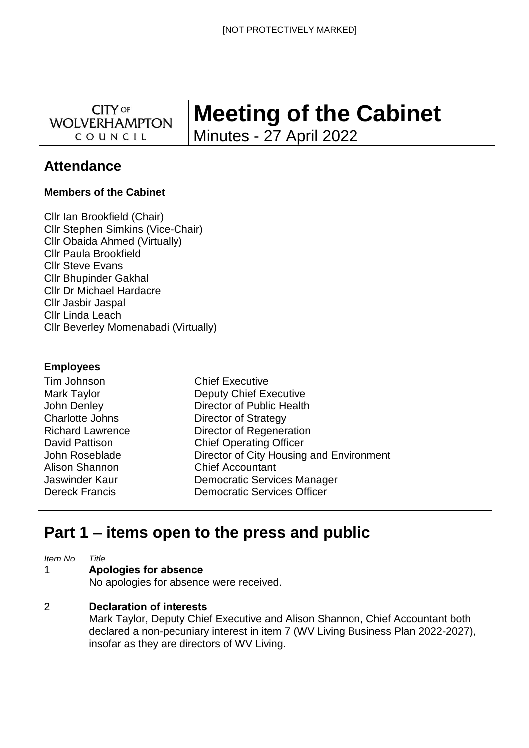**CITY OF WOLVERHAMPTON** COUNCIL

# **Meeting of the Cabinet** Minutes - 27 April 2022

# **Attendance**

# **Members of the Cabinet**

Cllr Ian Brookfield (Chair) Cllr Stephen Simkins (Vice-Chair) Cllr Obaida Ahmed (Virtually) Cllr Paula Brookfield Cllr Steve Evans Cllr Bhupinder Gakhal Cllr Dr Michael Hardacre Cllr Jasbir Jaspal Cllr Linda Leach Cllr Beverley Momenabadi (Virtually)

# **Employees**

| <b>Chief Executive</b>                   |
|------------------------------------------|
| <b>Deputy Chief Executive</b>            |
| Director of Public Health                |
| Director of Strategy                     |
| Director of Regeneration                 |
| <b>Chief Operating Officer</b>           |
| Director of City Housing and Environment |
| <b>Chief Accountant</b>                  |
| Democratic Services Manager              |
| <b>Democratic Services Officer</b>       |
|                                          |

# **Part 1 – items open to the press and public**

*Item No. Title*

#### 1 **Apologies for absence**

No apologies for absence were received.

# 2 **Declaration of interests**

Mark Taylor, Deputy Chief Executive and Alison Shannon, Chief Accountant both declared a non-pecuniary interest in item 7 (WV Living Business Plan 2022-2027), insofar as they are directors of WV Living.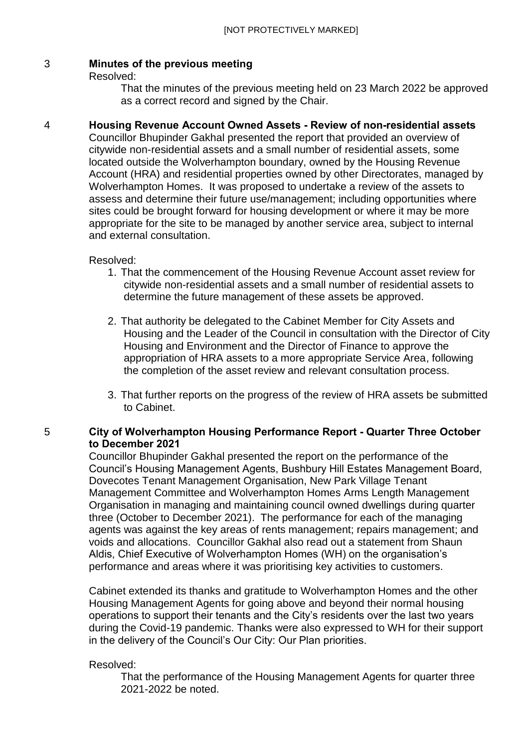#### 3 **Minutes of the previous meeting**

Resolved:

That the minutes of the previous meeting held on 23 March 2022 be approved as a correct record and signed by the Chair.

#### 4 **Housing Revenue Account Owned Assets - Review of non-residential assets**

Councillor Bhupinder Gakhal presented the report that provided an overview of citywide non-residential assets and a small number of residential assets, some located outside the Wolverhampton boundary, owned by the Housing Revenue Account (HRA) and residential properties owned by other Directorates, managed by Wolverhampton Homes. It was proposed to undertake a review of the assets to assess and determine their future use/management; including opportunities where sites could be brought forward for housing development or where it may be more appropriate for the site to be managed by another service area, subject to internal and external consultation.

Resolved:

- 1. That the commencement of the Housing Revenue Account asset review for citywide non-residential assets and a small number of residential assets to determine the future management of these assets be approved.
- 2. That authority be delegated to the Cabinet Member for City Assets and Housing and the Leader of the Council in consultation with the Director of City Housing and Environment and the Director of Finance to approve the appropriation of HRA assets to a more appropriate Service Area, following the completion of the asset review and relevant consultation process.
- 3. That further reports on the progress of the review of HRA assets be submitted to Cabinet.

# 5 **City of Wolverhampton Housing Performance Report - Quarter Three October to December 2021**

Councillor Bhupinder Gakhal presented the report on the performance of the Council's Housing Management Agents, Bushbury Hill Estates Management Board, Dovecotes Tenant Management Organisation, New Park Village Tenant Management Committee and Wolverhampton Homes Arms Length Management Organisation in managing and maintaining council owned dwellings during quarter three (October to December 2021). The performance for each of the managing agents was against the key areas of rents management; repairs management; and voids and allocations. Councillor Gakhal also read out a statement from Shaun Aldis, Chief Executive of Wolverhampton Homes (WH) on the organisation's performance and areas where it was prioritising key activities to customers.

Cabinet extended its thanks and gratitude to Wolverhampton Homes and the other Housing Management Agents for going above and beyond their normal housing operations to support their tenants and the City's residents over the last two years during the Covid-19 pandemic. Thanks were also expressed to WH for their support in the delivery of the Council's Our City: Our Plan priorities.

### Resolved:

That the performance of the Housing Management Agents for quarter three 2021-2022 be noted.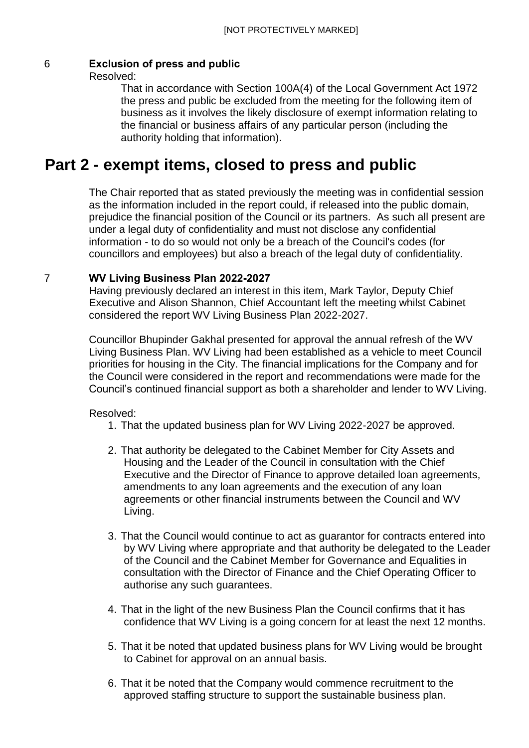# 6 **Exclusion of press and public**

Resolved:

That in accordance with Section 100A(4) of the Local Government Act 1972 the press and public be excluded from the meeting for the following item of business as it involves the likely disclosure of exempt information relating to the financial or business affairs of any particular person (including the authority holding that information).

# **Part 2 - exempt items, closed to press and public**

The Chair reported that as stated previously the meeting was in confidential session as the information included in the report could, if released into the public domain, prejudice the financial position of the Council or its partners. As such all present are under a legal duty of confidentiality and must not disclose any confidential information - to do so would not only be a breach of the Council's codes (for councillors and employees) but also a breach of the legal duty of confidentiality.

## 7 **WV Living Business Plan 2022-2027**

Having previously declared an interest in this item, Mark Taylor, Deputy Chief Executive and Alison Shannon, Chief Accountant left the meeting whilst Cabinet considered the report WV Living Business Plan 2022-2027.

Councillor Bhupinder Gakhal presented for approval the annual refresh of the WV Living Business Plan. WV Living had been established as a vehicle to meet Council priorities for housing in the City. The financial implications for the Company and for the Council were considered in the report and recommendations were made for the Council's continued financial support as both a shareholder and lender to WV Living.

Resolved:

- 1. That the updated business plan for WV Living 2022-2027 be approved.
- 2. That authority be delegated to the Cabinet Member for City Assets and Housing and the Leader of the Council in consultation with the Chief Executive and the Director of Finance to approve detailed loan agreements, amendments to any loan agreements and the execution of any loan agreements or other financial instruments between the Council and WV Living.
- 3. That the Council would continue to act as guarantor for contracts entered into by WV Living where appropriate and that authority be delegated to the Leader of the Council and the Cabinet Member for Governance and Equalities in consultation with the Director of Finance and the Chief Operating Officer to authorise any such guarantees.
- 4. That in the light of the new Business Plan the Council confirms that it has confidence that WV Living is a going concern for at least the next 12 months.
- 5. That it be noted that updated business plans for WV Living would be brought to Cabinet for approval on an annual basis.
- 6. That it be noted that the Company would commence recruitment to the approved staffing structure to support the sustainable business plan.